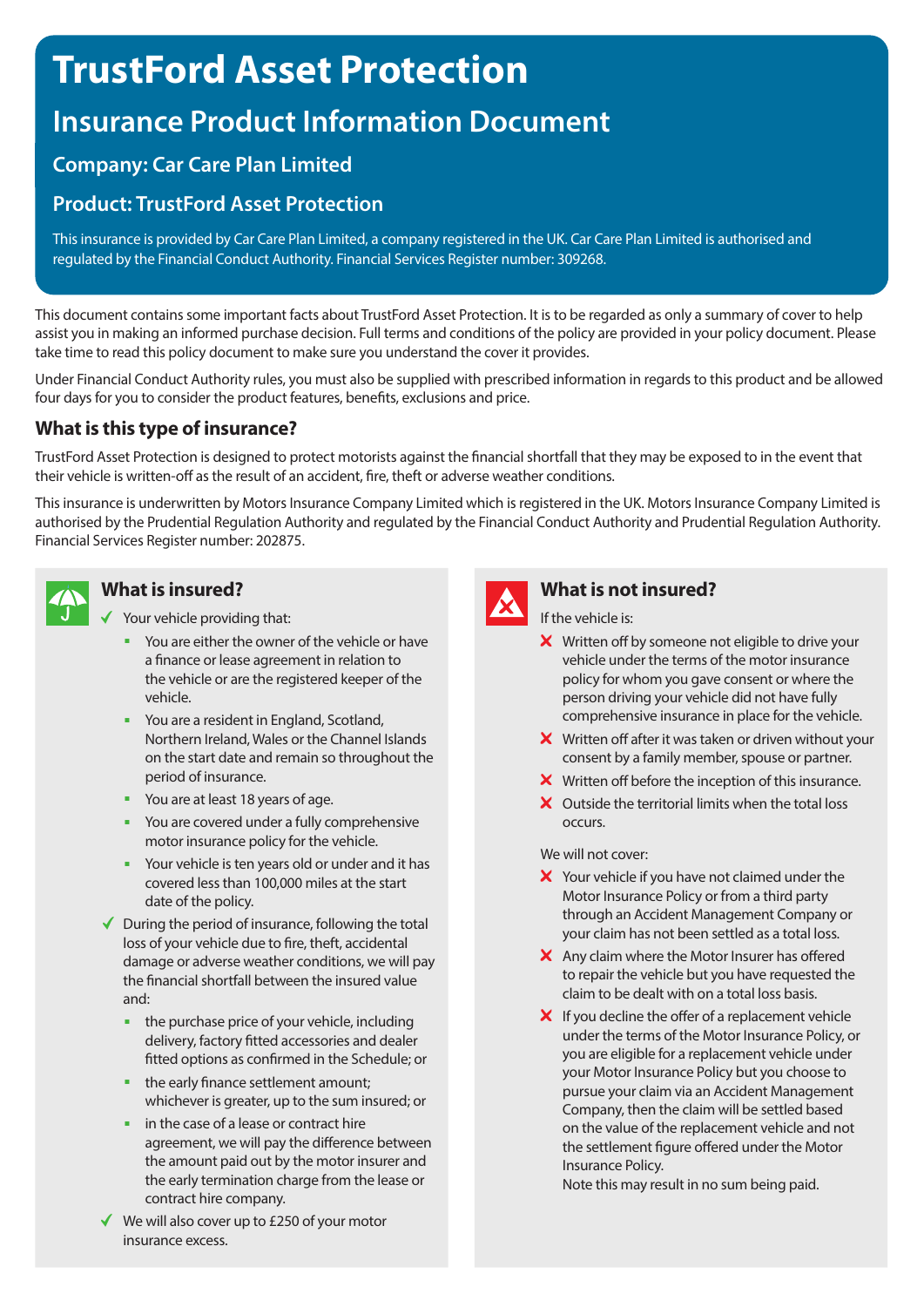# **TrustFord Asset Protection**

## **Insurance Product Information Document**

## **Company: Car Care Plan Limited**

## **Product: TrustFord Asset Protection**

This insurance is provided by Car Care Plan Limited, a company registered in the UK. Car Care Plan Limited is authorised and regulated by the Financial Conduct Authority. Financial Services Register number: 309268.

This document contains some important facts about TrustFord Asset Protection. It is to be regarded as only a summary of cover to help assist you in making an informed purchase decision. Full terms and conditions of the policy are provided in your policy document. Please take time to read this policy document to make sure you understand the cover it provides.

Under Financial Conduct Authority rules, you must also be supplied with prescribed information in regards to this product and be allowed four days for you to consider the product features, benefits, exclusions and price.

### **What is this type of insurance?**

TrustFord Asset Protection is designed to protect motorists against the financial shortfall that they may be exposed to in the event that their vehicle is written-off as the result of an accident, fire, theft or adverse weather conditions.

This insurance is underwritten by Motors Insurance Company Limited which is registered in the UK. Motors Insurance Company Limited is authorised by the Prudential Regulation Authority and regulated by the Financial Conduct Authority and Prudential Regulation Authority. Financial Services Register number: 202875.



#### **What is insured?**

 $\checkmark$  Your vehicle providing that:

- You are either the owner of the vehicle or have a finance or lease agreement in relation to the vehicle or are the registered keeper of the vehicle.
- You are a resident in England, Scotland, Northern Ireland, Wales or the Channel Islands on the start date and remain so throughout the period of insurance.
- You are at least 18 years of age.
- You are covered under a fully comprehensive motor insurance policy for the vehicle.
- Your vehicle is ten years old or under and it has covered less than 100,000 miles at the start date of the policy.
- $\blacklozenge$  During the period of insurance, following the total loss of your vehicle due to fire, theft, accidental damage or adverse weather conditions, we will pay the financial shortfall between the insured value and:
	- $\blacksquare$  the purchase price of your vehicle, including delivery, factory fitted accessories and dealer fitted options as confirmed in the Schedule; or
	- the early finance settlement amount: whichever is greater, up to the sum insured; or
	- <sup>n</sup> in the case of a lease or contract hire agreement, we will pay the difference between the amount paid out by the motor insurer and the early termination charge from the lease or contract hire company.
- ◆ We will also cover up to £250 of your motor insurance excess.



#### **What is not insured?**

If the vehicle is:

- X Written off by someone not eligible to drive your vehicle under the terms of the motor insurance policy for whom you gave consent or where the person driving your vehicle did not have fully comprehensive insurance in place for the vehicle.
- $\boldsymbol{\times}$  Written off after it was taken or driven without your consent by a family member, spouse or partner.
- X Written off before the inception of this insurance.
- X Outside the territorial limits when the total loss occurs.

We will not cover:

- X Your vehicle if you have not claimed under the Motor Insurance Policy or from a third party through an Accident Management Company or your claim has not been settled as a total loss.
- X Any claim where the Motor Insurer has offered to repair the vehicle but you have requested the claim to be dealt with on a total loss basis.
- $\boldsymbol{X}$  If you decline the offer of a replacement vehicle under the terms of the Motor Insurance Policy, or you are eligible for a replacement vehicle under your Motor Insurance Policy but you choose to pursue your claim via an Accident Management Company, then the claim will be settled based on the value of the replacement vehicle and not the settlement figure offered under the Motor Insurance Policy.

Note this may result in no sum being paid.